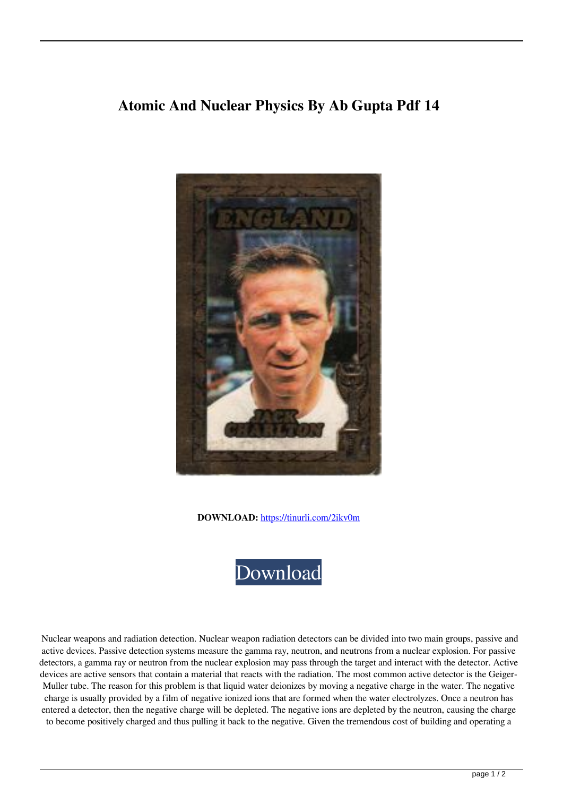## **Atomic And Nuclear Physics By Ab Gupta Pdf 14**



**DOWNLOAD:** <https://tinurli.com/2ikv0m>



 Nuclear weapons and radiation detection. Nuclear weapon radiation detectors can be divided into two main groups, passive and active devices. Passive detection systems measure the gamma ray, neutron, and neutrons from a nuclear explosion. For passive detectors, a gamma ray or neutron from the nuclear explosion may pass through the target and interact with the detector. Active devices are active sensors that contain a material that reacts with the radiation. The most common active detector is the Geiger-Muller tube. The reason for this problem is that liquid water deionizes by moving a negative charge in the water. The negative charge is usually provided by a film of negative ionized ions that are formed when the water electrolyzes. Once a neutron has entered a detector, then the negative charge will be depleted. The negative ions are depleted by the neutron, causing the charge to become positively charged and thus pulling it back to the negative. Given the tremendous cost of building and operating a